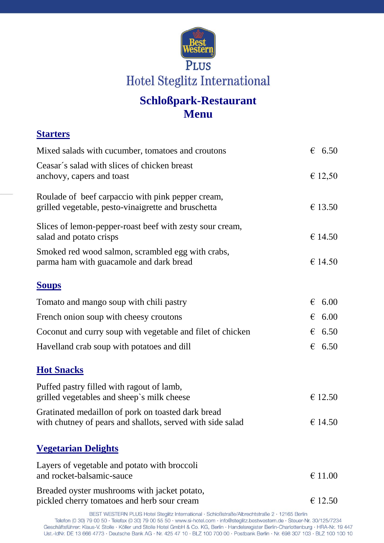

## **Schloßpark-Restaurant Menu**

# **Starters** Mixed salads with cucumber, tomatoes and croutons  $\epsilon$  6.50 Ceasar´s salad with slices of chicken breast anchovy, capers and toast  $\epsilon$  12,50 Roulade of beef carpaccio with pink pepper cream, grilled vegetable, pesto-vinaigrette and bruschetta  $\epsilon$  13.50 Slices of lemon-pepper-roast beef with zesty sour cream, salad and potato crisps  $\epsilon$  14.50 Smoked red wood salmon, scrambled egg with crabs, parma ham with guacamole and dark bread  $\epsilon$  14.50 **Soups** Tomato and mango soup with chili pastry  $\epsilon$  6.00 French onion soup with cheesy croutons  $\epsilon$  6.00 Coconut and curry soup with vegetable and filet of chicken  $\epsilon$  6.50 Havelland crab soup with potatoes and dill  $\epsilon$  6.50 **Hot Snacks** Puffed pastry filled with ragout of lamb, grilled vegetables and sheep's milk cheese  $\epsilon$  12.50 Gratinated medaillon of pork on toasted dark bread with chutney of pears and shallots, served with side salad  $\epsilon$  14.50 **Vegetarian Delights** Layers of vegetable and potato with broccoli and rocket-balsamic-sauce  $\epsilon$  11.00 Breaded oyster mushrooms with jacket potato, pickled cherry tomatoes and herb sour cream  $\epsilon$  12.50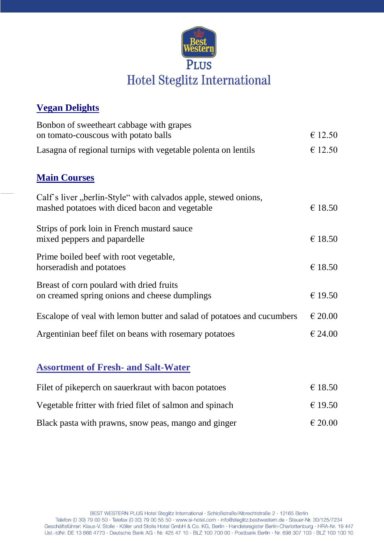

#### **Vegan Delights**

| Bonbon of sweetheart cabbage with grapes<br>on tomato-couscous with potato balls                                  | € 12.50          |
|-------------------------------------------------------------------------------------------------------------------|------------------|
| Lasagna of regional turnips with vegetable polenta on lentils                                                     | € 12.50          |
| <b>Main Courses</b>                                                                                               |                  |
| Calf's liver, berlin-Style" with calvados apple, stewed onions,<br>mashed potatoes with diced bacon and vegetable | € 18.50          |
| Strips of pork loin in French mustard sauce<br>mixed peppers and papardelle                                       | € 18.50          |
| Prime boiled beef with root vegetable,<br>horseradish and potatoes                                                | € 18.50          |
| Breast of corn poulard with dried fruits<br>on creamed spring onions and cheese dumplings                         | € 19.50          |
| Escalope of yeal with lemon butter and salad of potatoes and cucumbers                                            | $\epsilon$ 20.00 |
| Argentinian beef filet on beans with rosemary potatoes                                                            | € 24.00          |
|                                                                                                                   |                  |

### **Assortment of Fresh- and Salt-Water**

| Filet of pikeperch on sauerkraut with bacon potatoes     | € 18.50     |
|----------------------------------------------------------|-------------|
| Vegetable fritter with fried filet of salmon and spinach | € 19.50     |
| Black pasta with prawns, snow peas, mango and ginger     | $\in 20.00$ |